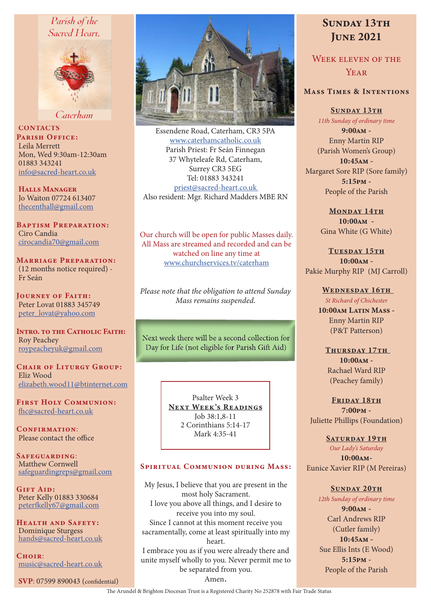# Parish of the Sacred Heart.



Caterham

**CONTACTS** PARISH OFFICE: Leila Merrett Mon, Wed 9:30am-12:30am 01883 343241 info@sacred-heart.co.uk

Halls Manager Jo Waiton 07724 613407 thecenthall@gmail.com

Baptism Preparation: Ciro Candia cirocandia70@gmail.com

Marriage Preparation: (12 months notice required) - Fr Seán

Journey of Faith: Peter Lovat 01883 345749 peter\_lovat@yahoo.com

INTRO. TO THE CATHOLIC FAITH: Roy Peachey roypeacheyuk@gmail.com

CHAIR OF LITURGY GROUP: Eliz Wood elizabeth.wood11@btinternet.com

First Holy Communion: fhc@sacred-heart.co.uk

CONFIRMATION: Please contact the office

Safeguarding: Matthew Cornwell safeguardingreps@gmail.com

Gift Aid: Peter Kelly 01883 330684 peterfkelly67@gmail.com

Health and Safety: Dominique Sturgess hands@sacred-heart.co.uk

 $C$ HOIR $\cdot$ music@sacred-heart.co.uk

SVP: 07599 890043 (confidential)



Essendene Road, Caterham, CR3 5PA www.caterhamcatholic.co.uk Parish Priest: Fr Seán Finnegan 37 Whyteleafe Rd, Caterham, Surrey CR3 5EG Tel: 01883 343241 priest@sacred-heart.co.uk Also resident: Mgr. Richard Madders MBE RN

Our church will be open for public Masses daily. All Mass are streamed and recorded and can be watched on line any time at www.churchservices.tv/caterham

*Please note that the obligation to attend Sunday Mass remains suspended.*

Next week there will be a second collection for Day for Life (not eligible for Parish Gift Aid)

> Psalter Week 3 NEXT WEEK'S READINGS Job 38:1,8-11 2 Corinthians 5:14-17 Mark 4:35-41

#### SPIRITUAL COMMUNION DURING MASS:

My Jesus, I believe that you are present in the most holy Sacrament. I love you above all things, and I desire to receive you into my soul. Since I cannot at this moment receive you sacramentally, come at least spiritually into my heart. I embrace you as if you were already there and unite myself wholly to you. Never permit me to be separated from you. Amen.

# SUNDAY 13TH **JUNE 2021**

Week eleven of the YEAR

# Mass Times & Intentions

SUNDAY 13TH *11th Sunday of ordinary time* 9:00am - Enny Martin RIP (Parish Women's Group) 10:45am - Margaret Sore RIP (Sore family) 5:15pm - People of the Parish

> MONDAY 14TH 10:00am - Gina White (G White)

TUESDAY 15TH  $10:00AM -$ Pakie Murphy RIP (MJ Carroll)

> WEDNESDAY 16TH *St Richard of Chichester* 10:00am Latin Mass -

Enny Martin RIP (P&T Patterson)

THURSDAY 17TH 10:00am - Rachael Ward RIP (Peachey family)

FRIDAY 18TH 7:00pm - Juliette Phillips (Foundation)

SATURDAY 19TH *Our Lady's Saturday* 10:00am-Eunice Xavier RIP (M Pereiras)

SUNDAY 20TH

*12th Sunday of ordinary time* 9:00am - Carl Andrews RIP (Cutler family) 10:45am - Sue Ellis Ints (E Wood) 5:15pm - People of the Parish

The Arundel & Brighton Diocesan Trust is a Registered Charity No 252878 with Fair Trade Status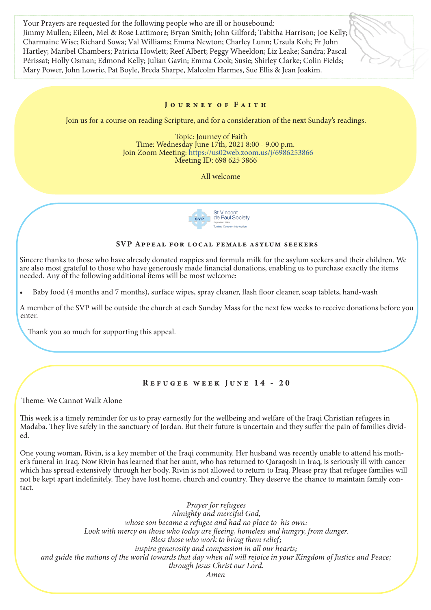Your Prayers are requested for the following people who are ill or housebound: Jimmy Mullen; Eileen, Mel & Rose Lattimore; Bryan Smith; John Gilford; Tabitha Harrison; Joe Kelly; Charmaine Wise; Richard Sowa; Val Williams; Emma Newton; Charley Lunn; Ursula Koh; Fr John Hartley; Maribel Chambers; Patricia Howlett; Reef Albert; Peggy Wheeldon; Liz Leake; Sandra; Pascal Périssat; Holly Osman; Edmond Kelly; Julian Gavin; Emma Cook; Susie; Shirley Clarke; Colin Fields; Mary Power, John Lowrie, Pat Boyle, Breda Sharpe, Malcolm Harmes, Sue Ellis & Jean Joakim.

# J o u r n e y o f F a i t h

Join us for a course on reading Scripture, and for a consideration of the next Sunday's readings.

 Topic: Journey of Faith Time: Wednesday June 17th, 2021 8:00 - 9.00 p.m. Join Zoom Meeting: https://us02web.zoom.us/j/6986253866 Meeting ID: 698 625 3866

All welcome



### SVP Appeal for local female asylum seekers

Sincere thanks to those who have already donated nappies and formula milk for the asylum seekers and their children. We are also most grateful to those who have generously made financial donations, enabling us to purchase exactly the items needed. Any of the following additional items will be most welcome:

• Baby food (4 months and 7 months), surface wipes, spray cleaner, flash floor cleaner, soap tablets, hand-wash

A member of the SVP will be outside the church at each Sunday Mass for the next few weeks to receive donations before you enter.

Thank you so much for supporting this appeal.

# Refugee week June 14 - 20

Theme: We Cannot Walk Alone

This week is a timely reminder for us to pray earnestly for the wellbeing and welfare of the Iraqi Christian refugees in Madaba. They live safely in the sanctuary of Jordan. But their future is uncertain and they suffer the pain of families divided.

One young woman, Rivin, is a key member of the Iraqi community. Her husband was recently unable to attend his mother's funeral in Iraq. Now Rivin has learned that her aunt, who has returned to Qaraqosh in Iraq, is seriously ill with cancer which has spread extensively through her body. Rivin is not allowed to return to Iraq. Please pray that refugee families will not be kept apart indefinitely. They have lost home, church and country. They deserve the chance to maintain family contact.

*Prayer for refugees Almighty and merciful God, whose son became a refugee and had no place to his own:*  Look with mercy on those who today are fleeing, homeless and hungry, from danger. *Bless those who work to bring them relief; inspire generosity and compassion in all our hearts; and guide the nations of the world towards that day when all will rejoice in your Kingdom of Justice and Peace; through Jesus Christ our Lord. Amen*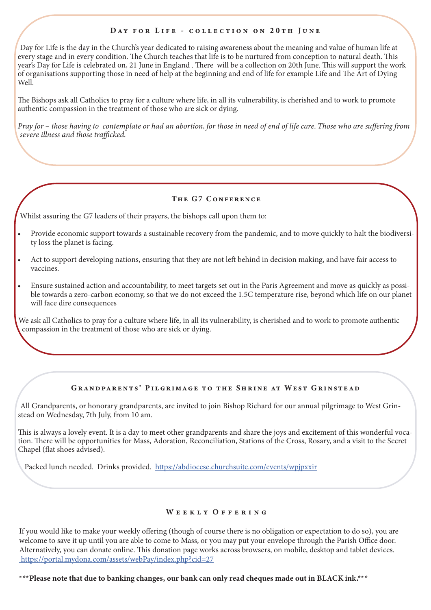#### DAY FOR LIFE - COLLECTION ON 20TH JUNE

Day for Life is the day in the Church's year dedicated to raising awareness about the meaning and value of human life at every stage and in every condition. The Church teaches that life is to be nurtured from conception to natural death. This year's Day for Life is celebrated on, 21 June in England . There will be a collection on 20th June. This will support the work of organisations supporting those in need of help at the beginning and end of life for example Life and The Art of Dying Well.

The Bishops ask all Catholics to pray for a culture where life, in all its vulnerability, is cherished and to work to promote authentic compassion in the treatment of those who are sick or dying.

*Pray for – those having to contemplate or had an abortion, for those in need of end of life care. Those who are suffering from severe illness and those trafficked.* 

#### THE G7 CONFERENCE

Whilst assuring the G7 leaders of their prayers, the bishops call upon them to:

- Provide economic support towards a sustainable recovery from the pandemic, and to move quickly to halt the biodiversity loss the planet is facing.
- Act to support developing nations, ensuring that they are not left behind in decision making, and have fair access to vaccines.
- Ensure sustained action and accountability, to meet targets set out in the Paris Agreement and move as quickly as possible towards a zero-carbon economy, so that we do not exceed the 1.5C temperature rise, beyond which life on our planet will face dire consequences

We ask all Catholics to pray for a culture where life, in all its vulnerability, is cherished and to work to promote authentic compassion in the treatment of those who are sick or dying.

#### Grandparents' Pilgrimage to the Shrine at West Grinstead

All Grandparents, or honorary grandparents, are invited to join Bishop Richard for our annual pilgrimage to West Grinstead on Wednesday, 7th July, from 10 am.

This is always a lovely event. It is a day to meet other grandparents and share the joys and excitement of this wonderful vocation. There will be opportunities for Mass, Adoration, Reconciliation, Stations of the Cross, Rosary, and a visit to the Secret Chapel (flat shoes advised).

Packed lunch needed. Drinks provided. https://abdiocese.churchsuite.com/events/wpjpxxir

#### WEEKLY OFFERING

If you would like to make your weekly offering (though of course there is no obligation or expectation to do so), you are welcome to save it up until you are able to come to Mass, or you may put your envelope through the Parish Office door. Alternatively, you can donate online. This donation page works across browsers, on mobile, desktop and tablet devices. https://portal.mydona.com/assets/webPay/index.php?cid=27

\*\*\*Please note that due to banking changes, our bank can only read cheques made out in BLACK ink.\*\*\*